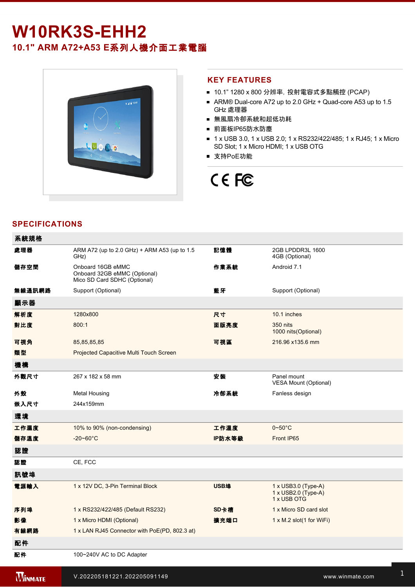# **W10RK3SEHH2**

**10.1" ARM A72+A53 E**系列人機介面工業電腦



 $\frac{1}{2}$ 

## **KEY FEATURES**

- 10.1" 1280 x 800 分辨率, 投射電容式多點觸控 (PCAP)
- ARM® Dual-core A72 up to 2.0 GHz + Quad-core A53 up to 1.5 GHz 處理器
- 無風扇冷卻系統和超低功耗
- 前面板IP65防水防塵
- 1 x USB 3.0, 1 x USB 2.0; 1 x RS232/422/485; 1 x RJ45; 1 x Micro SD Slot; 1 x Micro HDMI; 1 x USB OTG
- 支持PoE功能

# CE FC

# **SPECIFICATIONS**

| 系統規格           |                                                                                   |             |                                                                  |
|----------------|-----------------------------------------------------------------------------------|-------------|------------------------------------------------------------------|
| 處理器            | ARM A72 (up to 2.0 GHz) + ARM A53 (up to 1.5<br>GHz)                              | 記憶體         | 2GB LPDDR3L 1600<br>4GB (Optional)                               |
| 儲存空間           | Onboard 16GB eMMC<br>Onboard 32GB eMMC (Optional)<br>Mico SD Card SDHC (Optional) | 作業系統        | Android 7.1                                                      |
| 無線通訊網路         | Support (Optional)                                                                | 藍牙          | Support (Optional)                                               |
| 顯示器            |                                                                                   |             |                                                                  |
| 解析度            | 1280x800                                                                          | 尺寸          | 10.1 inches                                                      |
| 對比度            | 800:1                                                                             | 面版亮度        | <b>350 nits</b><br>1000 nits(Optional)                           |
| 可視角            | 85,85,85,85                                                                       | 可視區         | 216.96 x135.6 mm                                                 |
| 類型             | Projected Capacitive Multi Touch Screen                                           |             |                                                                  |
| 機構             |                                                                                   |             |                                                                  |
| 外觀尺寸           | 267 x 182 x 58 mm                                                                 | 安装          | Panel mount<br><b>VESA Mount (Optional)</b>                      |
| 外殼             | <b>Metal Housing</b>                                                              | 冷卻系統        | Fanless design                                                   |
| 嵌入尺寸           | 244x159mm                                                                         |             |                                                                  |
| 環境             |                                                                                   |             |                                                                  |
| 工作濕度           | 10% to 90% (non-condensing)                                                       | 工作溫度        | $0 - 50$ °C                                                      |
| 儲存溫度           | $-20 - 60^{\circ}$ C                                                              | IP防水等級      | Front IP65                                                       |
| 認證             |                                                                                   |             |                                                                  |
| 認證             | CE, FCC                                                                           |             |                                                                  |
| 訊號埠            |                                                                                   |             |                                                                  |
| 電源輸入           | 1 x 12V DC, 3-Pin Terminal Block                                                  | <b>USB埠</b> | $1 \times$ USB3.0 (Type-A)<br>1 x USB2.0 (Type-A)<br>1 x USB OTG |
| 序列埠            | 1 x RS232/422/485 (Default RS232)                                                 | SD卡槽        | 1 x Micro SD card slot                                           |
| 影像             | 1 x Micro HDMI (Optional)                                                         | 擴充端口        | $1 \times M.2$ slot(1 for WiFi)                                  |
| 有線網路           | 1 x LAN RJ45 Connector with PoE(PD, 802.3 at)                                     |             |                                                                  |
| 配件             |                                                                                   |             |                                                                  |
| 配件             | 100~240V AC to DC Adapter                                                         |             |                                                                  |
| <b>WINMATE</b> | V.202205181221.202205091149                                                       |             | www.winmate.com                                                  |